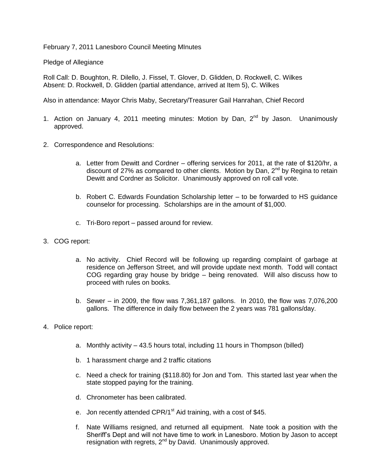February 7, 2011 Lanesboro Council Meeting MInutes

Pledge of Allegiance

Roll Call: D. Boughton, R. Dilello, J. Fissel, T. Glover, D. Glidden, D. Rockwell, C. Wilkes Absent: D. Rockwell, D. Glidden (partial attendance, arrived at Item 5), C. Wilkes

Also in attendance: Mayor Chris Maby, Secretary/Treasurer Gail Hanrahan, Chief Record

- 1. Action on January 4, 2011 meeting minutes: Motion by Dan,  $2<sup>nd</sup>$  by Jason. Unanimously approved.
- 2. Correspondence and Resolutions:
	- a. Letter from Dewitt and Cordner offering services for 2011, at the rate of \$120/hr, a discount of 27% as compared to other clients. Motion by Dan,  $2^{nd}$  by Regina to retain Dewitt and Cordner as Solicitor. Unanimously approved on roll call vote.
	- b. Robert C. Edwards Foundation Scholarship letter to be forwarded to HS guidance counselor for processing. Scholarships are in the amount of \$1,000.
	- c. Tri-Boro report passed around for review.
- 3. COG report:
	- a. No activity. Chief Record will be following up regarding complaint of garbage at residence on Jefferson Street, and will provide update next month. Todd will contact COG regarding gray house by bridge – being renovated. Will also discuss how to proceed with rules on books.
	- b. Sewer in 2009, the flow was 7,361,187 gallons. In 2010, the flow was 7,076,200 gallons. The difference in daily flow between the 2 years was 781 gallons/day.
- 4. Police report:
	- a. Monthly activity 43.5 hours total, including 11 hours in Thompson (billed)
	- b. 1 harassment charge and 2 traffic citations
	- c. Need a check for training (\$118.80) for Jon and Tom. This started last year when the state stopped paying for the training.
	- d. Chronometer has been calibrated.
	- e. Jon recently attended CPR/1<sup>st</sup> Aid training, with a cost of \$45.
	- f. Nate Williams resigned, and returned all equipment. Nate took a position with the Sheriff's Dept and will not have time to work in Lanesboro. Motion by Jason to accept resignation with regrets, 2<sup>nd</sup> by David. Unanimously approved.